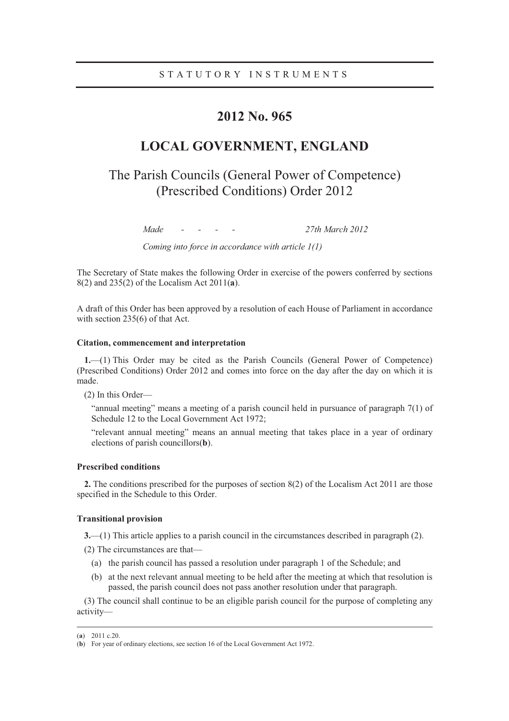## **2012 No. 965**

# **LOCAL GOVERNMENT, ENGLAND**

# The Parish Councils (General Power of Competence) (Prescribed Conditions) Order 2012

*Made - - - - 27th March 2012* 

*Coming into force in accordance with article 1(1)* 

The Secretary of State makes the following Order in exercise of the powers conferred by sections 8(2) and 235(2) of the Localism Act 2011(**a**).

A draft of this Order has been approved by a resolution of each House of Parliament in accordance with section 235(6) of that Act.

### **Citation, commencement and interpretation**

**1.**—(1) This Order may be cited as the Parish Councils (General Power of Competence) (Prescribed Conditions) Order 2012 and comes into force on the day after the day on which it is made.

(2) In this Order—

"annual meeting" means a meeting of a parish council held in pursuance of paragraph 7(1) of Schedule 12 to the Local Government Act 1972;

"relevant annual meeting" means an annual meeting that takes place in a year of ordinary elections of parish councillors(**b**).

### **Prescribed conditions**

**2.** The conditions prescribed for the purposes of section 8(2) of the Localism Act 2011 are those specified in the Schedule to this Order.

### **Transitional provision**

**3.**—(1) This article applies to a parish council in the circumstances described in paragraph (2).

(2) The circumstances are that—

- (a) the parish council has passed a resolution under paragraph 1 of the Schedule; and
- (b) at the next relevant annual meeting to be held after the meeting at which that resolution is passed, the parish council does not pass another resolution under that paragraph.

(3) The council shall continue to be an eligible parish council for the purpose of completing any activity—

 <sup>(</sup>**<sup>a</sup>**) 2011 c.20.

<sup>(</sup>**b**) For year of ordinary elections, see section 16 of the Local Government Act 1972.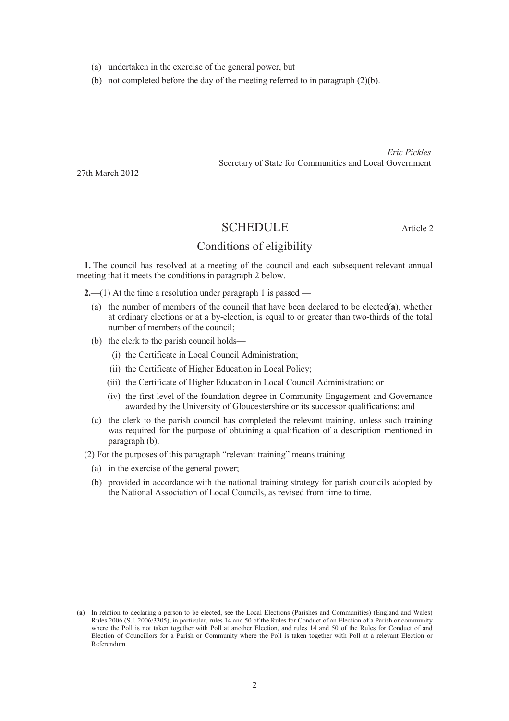- (a) undertaken in the exercise of the general power, but
- (b) not completed before the day of the meeting referred to in paragraph (2)(b).

*Eric Pickles* Secretary of State for Communities and Local Government

27th March 2012

### SCHEDULE Article 2

### Conditions of eligibility

**1.** The council has resolved at a meeting of the council and each subsequent relevant annual meeting that it meets the conditions in paragraph 2 below.

**2.**—(1) At the time a resolution under paragraph 1 is passed —

- (a) the number of members of the council that have been declared to be elected(**a**), whether at ordinary elections or at a by-election, is equal to or greater than two-thirds of the total number of members of the council;
- (b) the clerk to the parish council holds—
	- (i) the Certificate in Local Council Administration;
	- (ii) the Certificate of Higher Education in Local Policy;
	- (iii) the Certificate of Higher Education in Local Council Administration; or
	- (iv) the first level of the foundation degree in Community Engagement and Governance awarded by the University of Gloucestershire or its successor qualifications; and
- (c) the clerk to the parish council has completed the relevant training, unless such training was required for the purpose of obtaining a qualification of a description mentioned in paragraph (b).

(2) For the purposes of this paragraph "relevant training" means training—

- (a) in the exercise of the general power;
- (b) provided in accordance with the national training strategy for parish councils adopted by the National Association of Local Councils, as revised from time to time.

 <sup>(</sup>**<sup>a</sup>**) In relation to declaring a person to be elected, see the Local Elections (Parishes and Communities) (England and Wales) Rules 2006 (S.I. 2006/3305), in particular, rules 14 and 50 of the Rules for Conduct of an Election of a Parish or community where the Poll is not taken together with Poll at another Election, and rules 14 and 50 of the Rules for Conduct of and Election of Councillors for a Parish or Community where the Poll is taken together with Poll at a relevant Election or Referendum.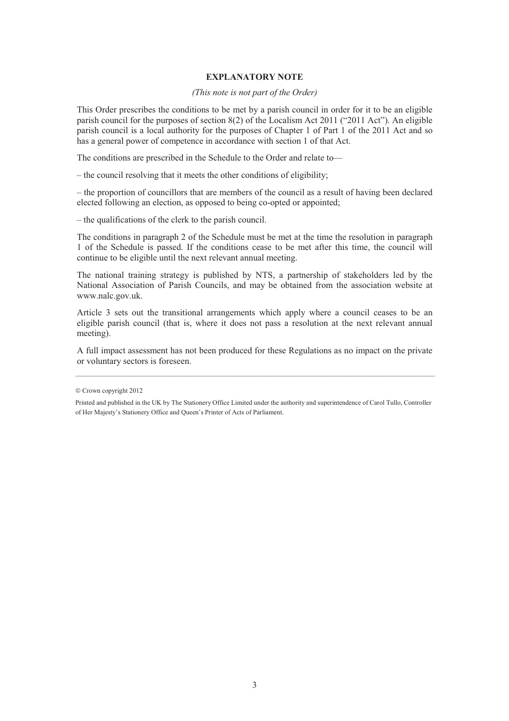#### **EXPLANATORY NOTE**

#### *(This note is not part of the Order)*

This Order prescribes the conditions to be met by a parish council in order for it to be an eligible parish council for the purposes of section 8(2) of the Localism Act 2011 ("2011 Act"). An eligible parish council is a local authority for the purposes of Chapter 1 of Part 1 of the 2011 Act and so has a general power of competence in accordance with section 1 of that Act.

The conditions are prescribed in the Schedule to the Order and relate to—

– the council resolving that it meets the other conditions of eligibility;

– the proportion of councillors that are members of the council as a result of having been declared elected following an election, as opposed to being co-opted or appointed;

– the qualifications of the clerk to the parish council.

The conditions in paragraph 2 of the Schedule must be met at the time the resolution in paragraph 1 of the Schedule is passed. If the conditions cease to be met after this time, the council will continue to be eligible until the next relevant annual meeting.

The national training strategy is published by NTS, a partnership of stakeholders led by the National Association of Parish Councils, and may be obtained from the association website at www.nalc.gov.uk.

Article 3 sets out the transitional arrangements which apply where a council ceases to be an eligible parish council (that is, where it does not pass a resolution at the next relevant annual meeting).

A full impact assessment has not been produced for these Regulations as no impact on the private or voluntary sectors is foreseen.

 $©$  Crown copyright 2012

Printed and published in the UK by The Stationery Office Limited under the authority and superintendence of Carol Tullo, Controller of Her Majesty's Stationery Office and Queen's Printer of Acts of Parliament.